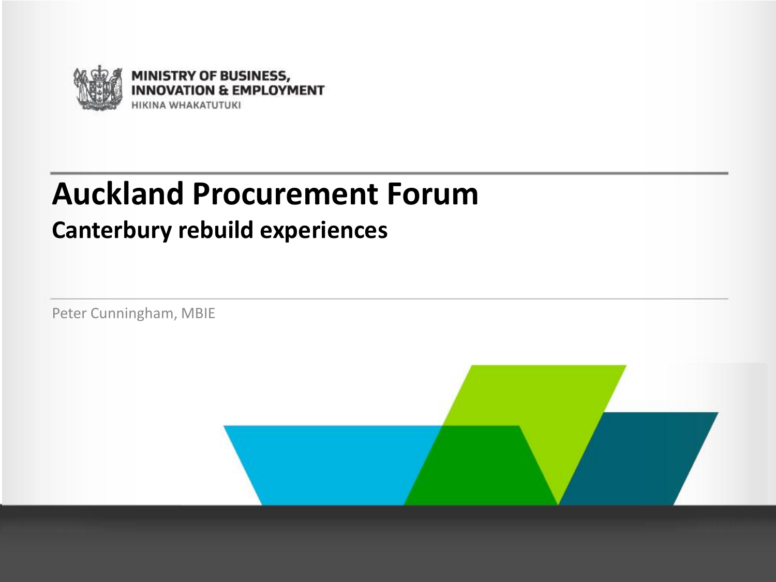

#### **Auckland Procurement Forum**

#### **Canterbury rebuild experiences**

Peter Cunningham, MBIE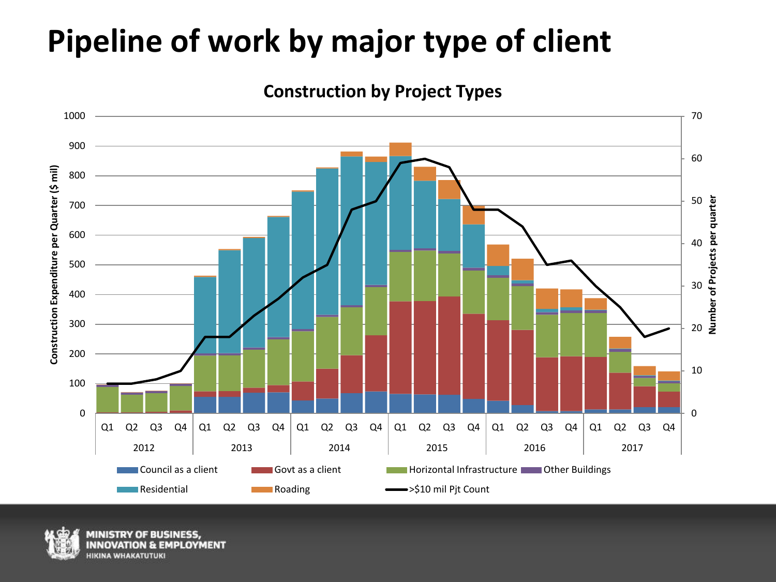#### **Pipeline of work by major type of client**







**MENT**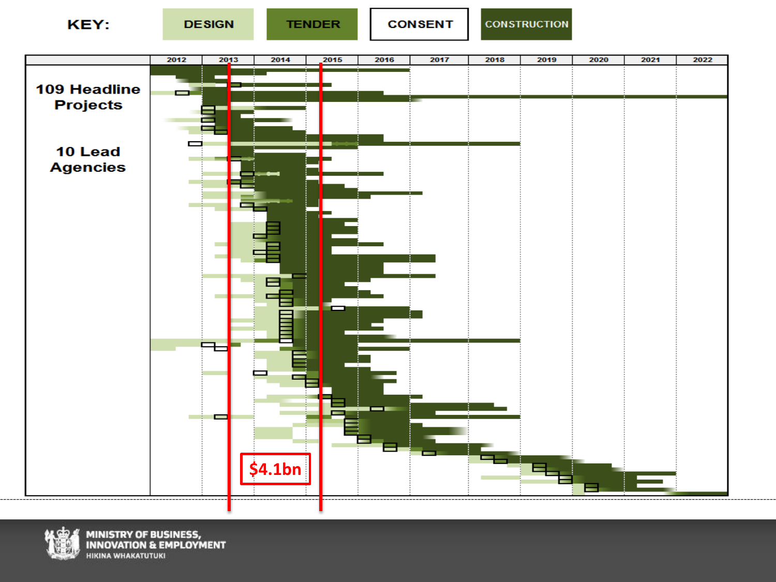



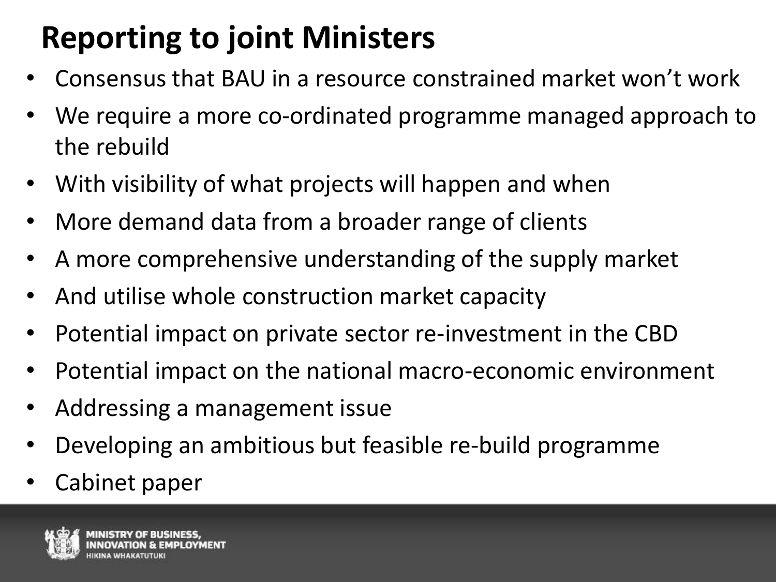# **Reporting to joint Ministers**

- Consensus that BAU in a resource constrained market won't work
- We require a more co-ordinated programme managed approach to the rebuild
- With visibility of what projects will happen and when
- More demand data from a broader range of clients
- A more comprehensive understanding of the supply market
- And utilise whole construction market capacity
- Potential impact on private sector re-investment in the CBD
- Potential impact on the national macro-economic environment
- Addressing a management issue
- Developing an ambitious but feasible re-build programme
- Cabinet paper

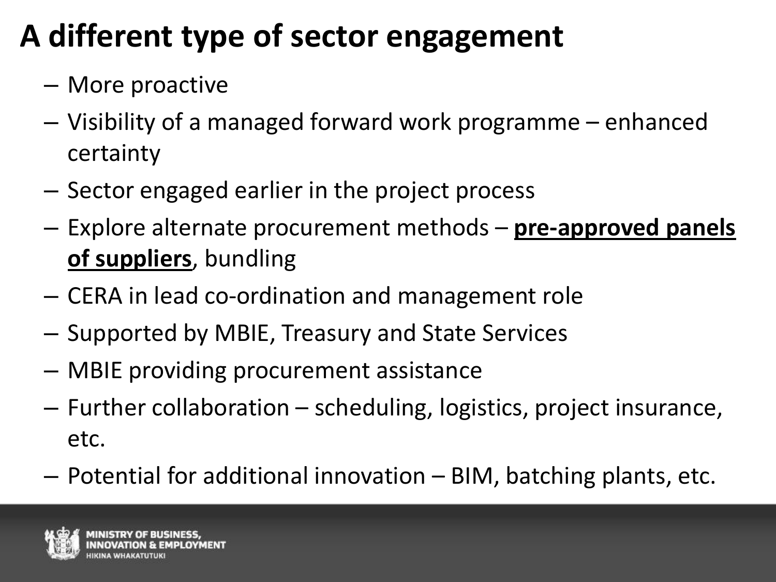# **A different type of sector engagement**

- More proactive
- Visibility of a managed forward work programme enhanced certainty
- Sector engaged earlier in the project process
- Explore alternate procurement methods **pre-approved panels of suppliers**, bundling
- CERA in lead co-ordination and management role
- Supported by MBIE, Treasury and State Services
- MBIE providing procurement assistance
- Further collaboration scheduling, logistics, project insurance, etc.
- Potential for additional innovation BIM, batching plants, etc.